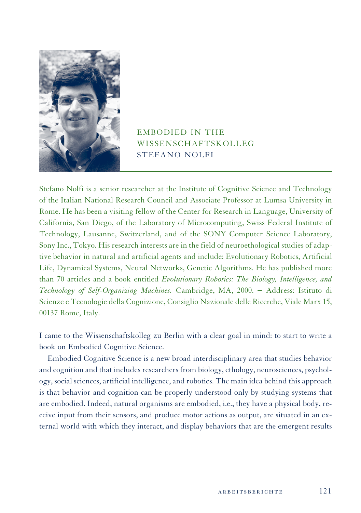

## EMBODIED IN THE WISSENSCHAFTSKOLLEG STEFANO NOLFI

Stefano Nolfi is a senior researcher at the Institute of Cognitive Science and Technology of the Italian National Research Council and Associate Professor at Lumsa University in Rome. He has been a visiting fellow of the Center for Research in Language, University of California, San Diego, of the Laboratory of Microcomputing, Swiss Federal Institute of Technology, Lausanne, Switzerland, and of the SONY Computer Science Laboratory, Sony Inc., Tokyo. His research interests are in the field of neuroethological studies of adaptive behavior in natural and artificial agents and include: Evolutionary Robotics, Artificial Life, Dynamical Systems, Neural Networks, Genetic Algorithms. He has published more than 70 articles and a book entitled *Evolutionary Robotics: The Biology, Intelligence, and Technology of Self-Organizing Machines.* Cambridge, MA, 2000. − Address: Istituto di Scienze e Tecnologie della Cognizione, Consiglio Nazionale delle Ricerche, Viale Marx 15, 00137 Rome, Italy.

I came to the Wissenschaftskolleg zu Berlin with a clear goal in mind: to start to write a book on Embodied Cognitive Science.

Embodied Cognitive Science is a new broad interdisciplinary area that studies behavior and cognition and that includes researchers from biology, ethology, neurosciences, psychology, social sciences, artificial intelligence, and robotics. The main idea behind this approach is that behavior and cognition can be properly understood only by studying systems that are embodied. Indeed, natural organisms are embodied, i.e., they have a physical body, receive input from their sensors, and produce motor actions as output, are situated in an external world with which they interact, and display behaviors that are the emergent results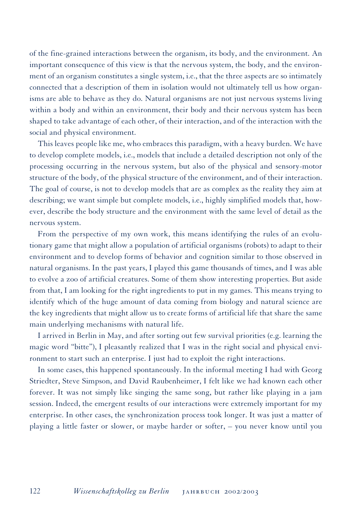of the fine-grained interactions between the organism, its body, and the environment. An important consequence of this view is that the nervous system, the body, and the environment of an organism constitutes a single system, i.e., that the three aspects are so intimately connected that a description of them in isolation would not ultimately tell us how organisms are able to behave as they do. Natural organisms are not just nervous systems living within a body and within an environment, their body and their nervous system has been shaped to take advantage of each other, of their interaction, and of the interaction with the social and physical environment.

This leaves people like me, who embraces this paradigm, with a heavy burden. We have to develop complete models, i.e., models that include a detailed description not only of the processing occurring in the nervous system, but also of the physical and sensory-motor structure of the body, of the physical structure of the environment, and of their interaction. The goal of course, is not to develop models that are as complex as the reality they aim at describing; we want simple but complete models, i.e., highly simplified models that, however, describe the body structure and the environment with the same level of detail as the nervous system.

From the perspective of my own work, this means identifying the rules of an evolutionary game that might allow a population of artificial organisms (robots) to adapt to their environment and to develop forms of behavior and cognition similar to those observed in natural organisms. In the past years, I played this game thousands of times, and I was able to evolve a zoo of artificial creatures. Some of them show interesting properties. But aside from that, I am looking for the right ingredients to put in my games. This means trying to identify which of the huge amount of data coming from biology and natural science are the key ingredients that might allow us to create forms of artificial life that share the same main underlying mechanisms with natural life.

I arrived in Berlin in May, and after sorting out few survival priorities (e.g. learning the magic word "bitte"), I pleasantly realized that I was in the right social and physical environment to start such an enterprise. I just had to exploit the right interactions.

In some cases, this happened spontaneously. In the informal meeting I had with Georg Striedter, Steve Simpson, and David Raubenheimer, I felt like we had known each other forever. It was not simply like singing the same song, but rather like playing in a jam session. Indeed, the emergent results of our interactions were extremely important for my enterprise. In other cases, the synchronization process took longer. It was just a matter of playing a little faster or slower, or maybe harder or softer, – you never know until you